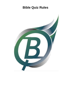# **Bible Quiz Rules**

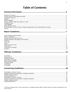# **Table of Contents**

## 

# 

#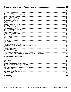|                                                                                                                                                                                                                                            | 20 |
|--------------------------------------------------------------------------------------------------------------------------------------------------------------------------------------------------------------------------------------------|----|
|                                                                                                                                                                                                                                            |    |
|                                                                                                                                                                                                                                            |    |
|                                                                                                                                                                                                                                            |    |
|                                                                                                                                                                                                                                            |    |
|                                                                                                                                                                                                                                            |    |
|                                                                                                                                                                                                                                            |    |
|                                                                                                                                                                                                                                            |    |
|                                                                                                                                                                                                                                            |    |
|                                                                                                                                                                                                                                            |    |
|                                                                                                                                                                                                                                            |    |
|                                                                                                                                                                                                                                            |    |
|                                                                                                                                                                                                                                            |    |
|                                                                                                                                                                                                                                            |    |
|                                                                                                                                                                                                                                            |    |
|                                                                                                                                                                                                                                            |    |
|                                                                                                                                                                                                                                            |    |
|                                                                                                                                                                                                                                            |    |
|                                                                                                                                                                                                                                            |    |
|                                                                                                                                                                                                                                            |    |
|                                                                                                                                                                                                                                            |    |
|                                                                                                                                                                                                                                            |    |
|                                                                                                                                                                                                                                            |    |
|                                                                                                                                                                                                                                            |    |
|                                                                                                                                                                                                                                            |    |
|                                                                                                                                                                                                                                            |    |
|                                                                                                                                                                                                                                            |    |
|                                                                                                                                                                                                                                            |    |
|                                                                                                                                                                                                                                            |    |
|                                                                                                                                                                                                                                            |    |
|                                                                                                                                                                                                                                            |    |
|                                                                                                                                                                                                                                            |    |
|                                                                                                                                                                                                                                            |    |
|                                                                                                                                                                                                                                            |    |
| <b><i>Property and the state of the state of the state of the state of the state of the state of the state of the state of the state of the state of the state of the state of the state of the state of the state of the state of</i></b> |    |

###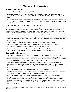# **General Information**

## <span id="page-3-1"></span><span id="page-3-0"></span>**Statement of Purpose**

The purpose of the Assemblies of God Bible Quiz ministry is to:

- 1. Encourage, by systematic memorization and study, an in-depth understanding of God's Word among young people, leading to daily application of the Word. "LEARN God's Word, LIVE out God's Word, and LEAD with God's Word."
- 2. Provide an opportunity for the discipleship of youth so that they will reflect the Spirit of Christ in attitude, word, and action. Cultivate, through competition, a proper attitude toward winning and losing. Provide opportunities to expand Christian friendships.

# <span id="page-3-2"></span>**Purpose and Use of the Bible Quiz Rules**

The information contained in this document serves as the official guide for all Bible Quiz participants. The Bible Quiz Rules are the final authority over all official Assemblies of God competitions. While this document attempts to offer rules, guidelines, and examples on a variety of Bible Quiz topics, it neither covers every situation nor answers every question. The following information is offered as assistance in using the Bible Quiz Rules:

- 1. Numbered rules are not a list of options to choose from unless the rule indicates this is the case.
- 2. Numbered or lettered rules are not a specified hierarchy (e.g., rule 1 is not more important than rule 5 and "a" is not more important than "b"). In some cases, there is a chronological order that must be followed to the conclusion of that rule or rules.
- 3. In many situations, a number of rules must be considered together in order to make a just ruling.
- 4. Any reference to a quizzer buzzing in, answering, being at the quiz table, etc., refers to an *active quizzer*.
- 5. Examples are not all-inclusive but give guidance regarding proper use of the rules.
- 6. Definitions in the glossary are fully enforceable rules that have been moved out of the main body of the text to enhance the overall flow of the document. Glossary words are italicized throughout the rules.

# <span id="page-3-3"></span>**Competition Structure**

- 1. Preliminary competitions for each quiz year are sponsored by each district through various league and district competitions. Assemblies of God Youth Ministries makes available to each district the league competition sets and the breakdown for Championship division, Contender division, and XP5 division quizzing. Contact the District Bible Quiz Coordinator (DBQC) for specific dates, times, and locations of competitions.
- 2. Official competition begins with the first match in which a team can be eliminated from further competition. Elimination for the quiz season is based on the following four levels of official competition (in ascending order): League Finals (most districts begin elimination at District Finals), District Finals, Regional Finals, and National Finals.
- 3. The number of teams advancing from League Finals to District Finals is determined by the DBQC.
- 4. If any team qualifying for competition at District Finals is unable to move on to compete at that level, then the next highest-placed team may compete in their place as determined by the DBQC.
- 5. The number of teams advancing from District Finals to Regional Finals is based on the number of teams participating in the first section/league/district-sponsored competition (including Championship division, Contender division, and XP5 division) and is as follows: districts with fewer than 15 official teams may send two teams to Regional Finals; districts with 15 to 30 official teams may send three teams to Regional Finals; districts with 31 to 50 official teams may send four teams to Regional Finals; districts with 51 or more official teams may send five teams to Regional Finals.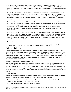- 6. If any team qualifying for competition at Regional Finals is unable to move on to compete at that level, or if the number of teams that a district can send to Regional Finals is less than what that district is allowed, the Regional Bible Quiz Coordinator (RBQC) may replace those teams/spots with wildcard teams from that region based on the formula in rule 8 below.
- 7. The 1st–4th place teams from a region will automatically qualify for National Finals. However, if any of the four automatically qualifying positions for a region cannot be filled using one of the 1st–5th place teams, then the unfilled positions will become additional wildcard spots to be determined by the National Steering Committee. It is still possible that teams from that region may be invited to participate at National Finals based on the formula in rule 8 below.
- 8. The ranking of potential Regional or National wildcard teams is based on a compilation of how each team ranks on four criteria: (1) Average score of all teams in their district/region; (2) Average score of the teams qualifying from their district/region; (3) Average score of the teams qualifying plus the next ranked team; (4) Average score of the specific team. Also, for Nationals Finals, wildcard teams may be chosen or not chosen based on special circumstances (e.g., the #1 quizzer from a team cannot attend Nationals or was absent at Regionals due to sickness, etc.).

Note: The word "qualifying" refers to all teams possibly going to Regional or National Finals, whether it is from an automatic bid or an invite. The purpose of wildcard teams is to fill spots from the districts or regions that lack a full complement of teams, with the intention to help these wildcard teams develop and grow through a higher-level quizzing experience. The exception is that no church (or associated church) may be awarded a wildcard if they already have two or more qualified teams.

## <span id="page-4-0"></span>**Officials**

The Officials for each match should include one Quizmaster (who also serves as a Judge), two Judges, one Scorekeeper (may be one of the Judges), and one Timekeeper (may be one of the Judges).

# <span id="page-4-1"></span>**Quizzer Eligibility**

All qualified participants must be enrolled in grade six through twelve and also be between the ages of 11–18 as of September 1st of the year the quiz season begins. Each participant must attend their local church. Participants may choose to quiz in the Championship division, Contender division, or XP5 division. The length of years that a quizzer is allowed to quiz depends on when they begin quizzing (e.g., a sixth grader who enters their first year of competition will be allowed to quiz for seven consecutive years. A ninth grader who enters their first year of competition will be allowed to quiz for four consecutive years).

### <span id="page-4-2"></span>**Quizzers without a Bible Quiz Ministry or Team**

Qualified participants affiliated with a church or other Christian organization that does not have a Bible Quiz ministry or cannot field a team at the proper level for the quizzer may quiz with the next closest Bible Quiz team in their district upon the approval of the DBQC. If there is not a church or other Christian organization available within a reasonable distance with a Bible Quiz ministry, quizzers may form a unique Bible Quiz group within their appropriate geographic area in their district upon approval of the DBQC, submitting to all rules and regulations of the district in which they are quizzing.

### <span id="page-4-3"></span>**Changing Teams**

Quizzers are allowed to change teams during the season only when a quizzer's entire family is changing their home church, other Christian organization, or unique Bible Quiz group. The following rules apply:

- 1. The change may not be made after official competition has started, which in most districts is District Finals competition. (You will need to contact your DBQC for details.)
- 2. A change of teams is allowed only once during a single quiz season.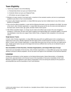# <span id="page-5-0"></span>**Team Eligibility**

- 1. Teams may compete in one of the following:
	- a. Championship division can quiz up to National Finals.
	- b. Contender division can quiz up to Regional Finals.
	- c. XP5 division can quiz at league meets.
- 2. Members of a team consist of: one head coach, a maximum of two assistant coaches, and one to six participants qualified to quiz (three or four is recommended).
- 3. A church, other Christian organization, or unique Bible Quiz group may have multiple teams in any of the various divisions of competition.
- 4. Prior to the first official competition, a roster with the following information must be submitted to the DBQC: the name of the church, other Christian organization, or unique Bible Quiz group and the city; the name and email address of the head coach; and the name, age, grade, and date of birth of each quizzer.
- 5. After official competition begins, no change may be made to the official roster except in the case of tragedy or emergency. In that event, the team must make an appeal to the National Bible Quiz Coordinator (NBQC). No quizzer may participate in more than one League Finals, District Finals, or Regional Finals competition in the same quiz season.

#### <span id="page-5-1"></span>**Single-Quizzer Teams**

A church, other Christian organization, or unique Bible Quiz group with one qualified quizzer who is competing as a single-quizzer team and is officially registered with their district will be counted toward the number of total teams in a district. A church, other Christian organization, or unique Bible Quiz group may not have more than one single-quizzer team. Single-quizzer teams may quiz at the league level and any unofficial meet, but they are not allowed to quiz at official competition.

#### <span id="page-5-2"></span>**Non-Assemblies of God Churches, Christian Organizations, and Unique Bible Quiz Groups**

Teams from non-Assemblies of God churches, other Christian organizations, or unique Bible Quiz groups may compete officially in all levels of official competition. All non-AG teams must agree to the Assemblies of God doctrinal statement.

### <span id="page-5-3"></span>**License**

All Bible Quiz participants, by their signature on the National Memorization, Master Memorization, or Discipleship Award forms, grant permission to the General Council of the Assemblies of God and to Assemblies of God Youth Ministries to publish the registrant's name without compensation to the one earning the award(s) for the purpose of promoting Bible Quiz and the Assemblies of God Youth Ministries.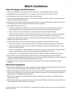# **Match Guidelines**

### <span id="page-6-1"></span><span id="page-6-0"></span>**Team Privileges and Restrictions**

- 1. Teams must comply with the schedule set by the coordinator or risk forfeiting the affected matches.
- 2. A designated head coach, assistant coach, or a captain must remain so for the entirety of a match.
- 3. At the beginning of each match, a quizzer is either *active* or *inactive*.
- 4. One to three *active eligible quizzers* may be at the quiz table to begin the match. Coaches and *inactive quizzers* should be seated behind *active quizzers*.
- 5. Both teams have the option to replace *active quizzers* during a time-out. The head coach should announce that a new *active quizzer* has entered the match when the time-out is completed.
- 6. If the captain *quizzes out* or *fouls out:*
	- a. They may be replaced by an *eligible quizzer* and remain at the table. (The Quizmaster decides where the captain will be seated at the table and will have their quiz pad removed or placed away from them.)
	- b. They are subject to the same privileges and restrictions as *active quizzers* while at the table.
	- c. The head coach may choose to have the captain seated behind the *active quizzers*. In this case, the captain becomes an *inactive quizzer* and will not have the same privileges and restrictions as *active quizzers*.
- 7. If a quizzer has *quizzed out* or *fouled out*, the head coach may immediately replace that quizzer with an *inactive eligible quizzer* without using a time-out.
- 8. *Communication* during a match is restricted as follows, and violation of these rules will result in a foul:
	- a. *Verbal communication* is only allowed per the rules for Conferring, Contesting, Responding, and time-outs.
	- b. All coaches and *inactive quizzers* may *non-verbally communicate* at any time among themselves, as long as they do not hinder the match.
	- c. No form of *communication* is allowed between *active quizzers* or between *active quizzers* and team members (except as permitted under rules for Conferring, Contesting, Responding, and time-outs).
	- d. *Communication* is not allowed between team members and audience members anytime during the match.
- 9. *Active quizzers* are only permitted closed *Scripture Portions* on the table and may open them only during Conferring, Contesting, Responding, and time-outs. Other hard copy material is permitted on the table or within the *Scripture Portion* only during Contesting, Responding, and time-outs.
- 10. Coaches and *inactive quizzers* are permitted full use of *Scripture Portions*, Bibles, and Bible Quiz related materials.

### <span id="page-6-2"></span>**Electronic Equipment**

- 1. Electronic quiz equipment must be used for all matches, and each *eligible quizzer* at the table will have a quiz pad. Quizzers must activate the pad (buzz in) with either their hand(s) or arm(s).
- 2. Audio and video equipment may be used to record a match but must first be approved by both the Quizmaster and the head coach of both teams. For district and regional matches, permission to use this equipment must also be obtained from the National Bible Quiz Coordinator.
- 3. Audio and video materials are not permitted to be viewed or listened to by the teams or the officials during the duration of the match.
- 4. Other electronic devices may be used to record the score and other Bible Quiz related data as long as they do not create a *hindrance* as determined by the Quizmaster.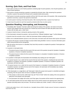# <span id="page-7-0"></span>**Scoring, Quiz Outs, and Foul Outs**

- 1. Each match consists of a set of twenty questions containing eight 10-point questions, nine 20-point questions, and three 30-point questions.
- 2. Each quizzer correctly answering a question is awarded the full point value. After answering five questions correctly, a quizzer has *quizzed out* forward and is awarded twenty bonus points.
- 3. Each quizzer incorrectly answering a question will lose half of the point value of the question. After answering three questions incorrectly, a quizzer has *quizzed out* backward.
- 4. An *active quizzer* receiving a foul loses five points. After receiving three fouls, a quizzer has *fouled out*.
- 5. A team loses five points for each foul caused by someone other than an *active quizzer*.

## <span id="page-7-1"></span>**Question Reading, Interrupting, and Answering**

- 1. Immediately after "Question" has been called and during the reading of the question, the hands of all *active quizzers* (and captains that have *quizzed out* or *fouled out*) must be above the table with palms down and in contact with the table, pad, or other hand.
- 2. A quizzer should not buzz in during the *opening remarks* of the question.
- 3. If the Quizmaster *misreads* the question, rule 6a and 6b from "Officials Guidelines" page 11 will be followed.
- 4. Quizzers have five seconds to buzz in after the Quizmaster finishes reading the question.
- 5. When a tie is indicated between quizzers on the same team, the head coach will choose which quizzer will answer.
- 6. A quizzer who buzzes in should not begin to answer before being *identified*. Correct or incorrect information given before being *identified* will be disregarded.
- 7. After the quizzer who buzzes in is *identified*, they have thirty seconds to complete the question if interrupted and give the answer.
- 8. A question is interrupted when:
	- a. The quizzer buzzes in before the first sound of the last word of the question (except for Quotation Completion Questions or Essence Completion Questions).
	- b. The quizzer buzzes in before the first sound of the Scripture in a Quotation Completion Question or Essence Completion Question.
- 9. If a question is interrupted, the Quizmaster will immediately stop reading and call "Interruption."
- 10. If a quizzer buzzes in on or after the first sound of the last word of the question, including the last word of the Scripture in a Scripture Text Question, Quotation Completion Question, or Essence Completion Question, the Quizmaster will finish that word.
- 11. If a quizzer buzzes in on or after the first sound of the Scripture in a Quotation Completion Question or Essence Completion Question, but before the last word of the Scripture, the Quizmaster will immediately stop reading ("Interruption" will not be called.)
- 12. If the Quizmaster or a Judge fails to call "Interruption" before the quizzer who buzzed in is *identified* and begins answering, then the quizzer does not have to complete the question.
	- a. If the answer is ruled incorrect, either team may call "*Point of Order*" before the reading of the next question to determine if the question was interrupted.
	- b. The Quizmaster and Judges will consult, and if they agree, the question will be reread to the opposing team.
- 13. An interrupted question that has been initially ruled incorrect will be reread to the opposing team unless the question was being read to only one team. This will occur before any Confer, Contest, or time-out is granted.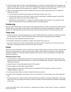- 14. If the Quizmaster fails to reread an interrupted question (e.g., question 5) and proceeds to the next question (e.g., question 6), either team may call a "*Point of Order*" between the conclusion of that question (e.g., question 6) and answer and the calling of the next question (e.g., question 7). The question must then be reread.
- 15. When an interrupted question has been initially ruled correct and is later ruled incorrect due to a Contest, the following rules apply:
	- a. The Quizmaster will read the entire question for both teams to listen to only. Then,
	- b. The team ruled incorrect has the right to Confer and may Contest before a substitute question is read to the opposing team. Either team may Contest validity. Then,
	- c. If following all Contesting there is no change concerning the validity of the question or the correctness of the answer, the Quizmaster will read a substitute question to the opposing team.

# <span id="page-8-0"></span>**Conferring**

Only the quizzer whose answer is ruled incorrect may request permission to Confer for thirty seconds with their team members who are at the table and the *Scripture Portion* following any necessary rereading of the question. If two quizzers from opposing teams are both ruled incorrect, both may receive permission to Confer at the same time.

## <span id="page-8-1"></span>**Time-outs**

- 1. A thirty-second time-out may be requested by any team member between the conclusion of a question and before the next question is called. It will not be granted until all Conferring and Contesting has been completed.
- 2. Each team will only be granted three team time-outs.
- 3. All members of both teams are allowed to *verbally communicate* during a time-out.
- 4. If a tie exists at the end of a match, the Quizmaster will reopen the match and declare a one-minute time-out for both teams. Remaining team time-outs may not be used in overtime.

### <span id="page-8-2"></span>**Fouls**

Each foul is a loss of five points. There is no limit to the number of fouls a quizzer or team can receive. Assessed fouls remain even if the question on which it occurred is later voided or ruled invalid. (The exception is a foul assessed during the rereading of an interrupted question originally ruled incorrect on which the Quizmaster and Judges later reverse their decision.)

### <span id="page-8-3"></span>**Individual Quizzer Fouls**

- 1. An *active quizzer* (or captain that has *quizzed out* or *fouled out*) does not have their hands above the table, with palms down and in contact with the table, pad, or other hand immediately after "Question" is called and during the reading of the question.
- 2. A quizzer buzzes in during the *opening remarks* of the question.
- 3. A quizzer begins to answer before being *identified*.
- 4. A quizzer begins to answer when another quizzer was *identified*. (For the exception, see rule 11c from the "Officials Guidelines," page 12.)
- 5. An *active quizzer* gives *help* to a member of their team who has buzzed in.
- 6. An *active quizzer* improperly *communicates*. If two or more quizzers are *communicating*, each will be assessed a foul.
- 7. An *active quizzer* has an open *Scripture Portion* (except during Conferring, Contesting, Responding, or time-outs), and/or other hard copy material at the table or within the *Scripture Portion* (except during Contesting, Responding, or time-outs).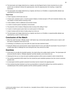- 8. The Quizmaster and Judges determine by a majority vote that flagrant hand or body movement by an *active quizzer* was an attempt to distract the opposing team, draw the opposing team into reacting, or signal their teammates.
- 9. The Quizmaster and Judges determine by a majority vote that an un-Christlike or unsportsmanlike attitude was expressed by an *active quizzer*.

### <span id="page-9-0"></span>**Team Fouls**

- 1. A team requests a fourth team time-out.
- 2. A head coach, assistant coach, or *inactive quizzer* initiates a Contest (except in XP5 and Contender divisions, they may initiate a Contest without receiving a foul).
- 3. A team initiates a third or additional unsuccessful Contest.
- 4. A coach or *inactive quizzer* improperly *communicates*.
- 5. The presenter of the Contest or Response does not stop at the calling of "time."
- 6. A coach or *inactive quizzer* gives *help* to an *active quizzer* on their team.
- 7. A team Contests with the intent of solely using it as a time-out.
- 8. The Quizmaster and Judges determine by a majority vote that an un-Christlike or unsportsmanlike attitude was expressed by a coach or *inactive quizzer*.

### <span id="page-9-1"></span>**Conclusion of the Match**

- 1. When the match has been "officially closed," both teams may *communicate* quietly until the score is read or until the match is reopened in the event of a tie.
- 2. Contesting is not allowed on any issue after the match has been declared closed.
- 3. During the official score announcement, teams should check for errors and notify the Quizmaster if any are found. If a head coach fails to challenge the score during this time, they cannot do so later.

### <span id="page-9-2"></span>**Overtime**

- 1. In the event of a tie after the twentieth question, the match will go into sudden death overtime. The Quizmaster will announce that the match is "officially reopened" and then declare a one-minute time-out.
- 2. Following the time-out, as many ten-point substitute questions will be read as needed in order to break the tie.
- 3. The overtime question(s) will be taken from the unused ten-point substitute questions from the current or previous question sets.
- 4. An interrupted overtime question answered incorrectly must be reread to the opposing team.
- 5. Once overtime has been declared, any foul occurring before or during the reading of any overtime question is considered part of the overtime question and the overtime question is still read.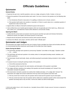# **Officials Guidelines**

# <span id="page-10-1"></span><span id="page-10-0"></span>**Quizmaster**

### <span id="page-10-2"></span>**General Duties**

- 1. Supervise the quiz room, read the questions, serve as a Judge, and grant a Confer, Contest, or time-out.
- 2. Review the questions if time permits before each match. If an error is found on the question set, the following rules apply:
	- a. If an *Introductory Remark* is inaccurate or if a spelling or reference error is found, correct it.
	- b. If the question itself needs to be rewritten or reworded, or if there is a point value error, a substitute question of equal/correct value must be used.
- 3. Appoint either an official or themself to *identify* the quizzer who buzzes in.
- 4. Call an official time-out to handle special situations which are not generally part of the match (e.g., official score error, illness, etc.), and determine if teams will be allowed to *communicate verbally*.

### <span id="page-10-3"></span>**Opening the Match**

- 1. Confirm that the correct teams are present; have the quizzers test their quiz pads and introduce themselves; identify the coaches, the captain, and *inactive quizzers* on each team.
- 2. Request that all cell phones and electronic devices (with sound) be silenced.
- 3. Introduce the officials, have prayer, and then call the match "officially open."

## <span id="page-10-4"></span>**Quizmaster and Judges**

The Quizmaster and Judges should have their own *Scripture Portion* and Bible Quiz Rules and be familiar with them. It is recommended that they should also read through all of the Bible Quiz Rules regularly.

### <span id="page-10-5"></span>**Duties During the Match**

- 1. The Quizmaster will begin each question by announcing "Question" (not written on the page), "Question number \_\_\_ for \_\_\_ points."
- 2. The Quizmaster will read each question in its entirety unless it is interrupted (including reread, substitute, and overtime questions).
- 3. The Quizmaster should read loudly, clearly, and without pausing for punctuation (being consistent in their reading style).
- 4. If a quizzer buzzes in during the *opening remarks* of the question:
	- a. A foul will be assessed at that time.
	- b. The question will be reread for the same team(s), and interruption of the question is permitted.
- 5. The Judges will listen carefully to the reading of the question and should immediately call *"misread"* if the Quizmaster *misreads* the question.
- 6. If the Quizmaster *misreads* a question but catches their mistake and stops, or if a Judge calls "*misread*," the Quizmaster and Judges will consult to determine if the *key words* of the question have been read.
	- a. If the *key words* have not been read, the question will be reread and the question may be interrupted.
	- b. If the *key words* have been read, the question will be voided and a substitute question will be read (except if the question was being read to only one team, it will not be voided, but will be reread again).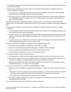- 7. The Quizmaster will proceed to the next question if a quizzer does not buzz in within five seconds after reading the last word of the question.
- 8. The Quizmaster will follow the procedures below for all questions (except Quotation Completion Questions or Essence Completion Questions):
	- a. If a quizzer buzzes in before the first sound of the last word of the question, the Quizmaster will immediately stop reading, even in the middle of the word, and call "Interruption."
	- b. If a quizzer buzzes in on or after the first sound of the last word of the question, the Quizmaster will finish that word. (Hyphenated words are considered one word, including numbers pronounced as a hyphenated word, such as 27 [twenty-seven].)

Note: Because Quizmasters instinctively stop when a quizzer buzzes in, it is permissible, on the last word of the question only, for the Quizmaster to repeat the last word if they have stopped or attempted to stop before finishing that word.

- 9. The Quizmaster will follow the procedures below for Quotation Completion Questions or Essence Completion Questions:
	- a. If a quizzer buzzes in before the first sound of the Scripture, the Quizmaster will immediately stop reading, even in the middle of the word, and call "Interruption."
	- b. If a quizzer buzzes in on or after the first sound of the Scripture but before the first sound of the last word of the Scripture, the Quizmaster will immediately stop reading, even in the middle of the word. ("Interruption" will not be called).
	- c. If a quizzer buzzes in on or after the first sound of the last word of the Scripture, the Quizmaster will finish that word (including hyphenated words; see rule on page 12, 8b).
- 10. If a quizzer who buzzes in begins to respond prior to any *identification* being made:
	- a. The quizzer should immediately be stopped by the Quizmaster or a Judge.
	- b. Correct or incorrect information given before the quizzer is *identified* must be disregarded.
	- c. The quizzer will be properly *identified* and then the time reset for thirty seconds.
	- d. A foul should be assessed after the answer is ruled correct or incorrect.
- 11. If an official *identifies* a quizzer who did not buzz in:
	- a. The Quizmaster or a Judge should immediately *identify* the quizzer who did buzz in and then reset the time.
	- b. No foul will be assessed to the incorrectly *identified* quizzer if they begin to answer; however, the question will then have to be voided. The substitute question will be read to the team who buzzed in.
	- c. No foul will be assessed to the quizzer who originally buzzed in if they begin to answer before being correctly *identified.* Rules 10a, b, c, d on page 12 will not be applied.
- 12. If a quizzer who did not buzz in and was not *identified* begins to respond:
	- a. The quizzer should immediately be stopped by the Quizmaster or a Judge. A foul will be assessed at that time; and
		- i. If the quizzer was on the same team as the quizzer who buzzed in, the answer will be counted as incorrect for the quizzer who committed the foul (with no Confer allowed). Then continue with rule 12b below.
		- ii. If the quizzer was on the opposing team, continue with rule 12b below.
	- b. The question, whether interrupted or not, will then be reread to the team which did not commit the foul, unless it was being read to only one team.
- 13. If a quizzer who buzzes in receives *help* from a member on their team:

local church use only.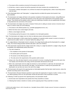- a. The answer will be counted as incorrect for the quizzer who buzzed in.
- b. At that time, a team or quizzer foul will be assessed to the team member who committed the foul.
- c. The question, whether interrupted or not, will then be reread to the opposing team, unless it was being read to only one team.
- 14. If the Quizmaster fails to call "Interruption," a Judge should do so before the quizzer who buzzed in has been *identified*.
- 15. The Quizmaster and Judges will listen to the question completion (if interrupted) and answer, noting differences from the official question, and base their decision on the rules and on the requirements of the question and/or answer. They should use the question writer's notes and underlining of answers only as supplemental information to help determine the correctness of the answer.
- 16. The Quizmaster and Judges may check a *Scripture Portion* prior to calling an answer correct or incorrect only if there is a need to verify one of the following:
	- a. The answer on the official question (e.g., possible typographical errors, etc.).
	- b. Where the *three-verse context* begins and ends.
	- c. Where a verse begins and ends.
	- d. The phrasing used by the quizzer in the completion of an interrupted question.

Note: The Quizmaster and Judges must not check an alternate answer until presented in a Contest.

- 17. Unless the Quizmaster is 100% certain that the completion of a question and/or answer is correct or incorrect, it should never be called "correct" or "incorrect" before the calling of "time."
- 18. If a Judge believes a Quizmaster erred in a decision, the Judge should quietly ask the Quizmaster for a Judges' ruling. The normal voting procedure will then take place. (See rule 19 below.)
- 19. If the Quizmaster requests that the Judges assist with a ruling or a Judge has asked for a Judges' ruling, they will immediately vote independently without discussion.
	- a. This vote is based on:
		- i. The completion of the question (if interrupted);
		- ii. The answer given by the quizzer;
		- iii. The answer on the official question; and
		- iv. The rules and on the requirements of the question and/or answer.
	- b. Using a coin, they will select heads for correct and tails for incorrect, revealing their decision at the same time. The majority vote will stand as the ruling, and the Quizmaster will announce the result.
	- c. When only a Quizmaster and one Judge are present in a room and there is a split vote, the Quizmaster and Judge may discuss their vote and then vote again. The final decision is made by the Quizmaster (the Quizmaster can use their own vote or the vote of the Judge).
- 20. The Quizmaster will reread to the opposing team an interrupted question that has been ruled incorrect, unless the question was being read to only one team.
- 21. The Quizmaster will pause between questions to give teams the opportunity to request a Confer, Contest, or timeout. Before granting a time-out, the Quizmaster should ask both teams if they would like to Contest.
- 22. Following a Confer by quizzers from opposing teams, the Quizmaster should:
	- a. Ask the team who responded to the question first if they would like to Contest.
	- b. Following that Contest or decline to Contest, ask the opposing team if they would like to Contest.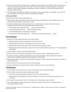- 23. Fouls should be called by the Quizmaster or Judges as close as possible to the infraction of the rule, but in such a way as to not hinder the proper flow of the match. They must not assess a foul while the quizzer is answering a question or when a team is preparing or presenting a Contest or Response. A foul should be assessed at the conclusion of either situation.
- 24. The Quizmaster and Judges will not keep a running score unless a Scorekeeper is unavailable. They should not look at the official score during the match if a Scorekeeper is available.

#### <span id="page-13-0"></span>**Closing the Match**

At the conclusion of the match the Quizmaster will:

- 1. Ask both teams if they would like to Contest, and if they decline, then declare the match "officially closed." The Quizmaster should reopen the match only if it is tied.
- 2. Announce the following items from the official score in a similar fashion as below correcting all scoring discrepancies (this must be done before either team leaves the room).
	- a. "The individual second high scorer with points is (quizzer's name)."
	- b. "The individual high scorer with points is (quizzer's name)."
	- c. All other individual points should then be announced.
	- d. "The final score is (first place team) with \_\_\_ points and (second place team) with \_\_\_ points."

### <span id="page-13-1"></span>**Scorekeeper**

1. Record the running individual and team score, which includes:

- a. Adding the full point value of the question for each correct answer.
- b. Deducting half the point value of the question for each incorrect answer.
- c. Adding twenty bonus points for each quizzer who answers five questions correctly.
- d. Deducting five points for each team or quizzer foul. Fouls should be denoted by placing an "F" in the appropriate scoring block.
- 2. Circle the question number of each interrupted question.
- 3. Record the time-outs and notify the Quizmaster if a team requests a fourth or additional team time-out.
- 4. Record the Contests and notify the Quizmaster if a team has accumulated a third or additional unsuccessful Contest (which is denoted by drawing a slash through the "Contest" mark).
- 5. Notify the Quizmaster if any quizzer has answered five questions correctly, answered three questions incorrectly, or received three fouls.
- 6. At the conclusion of the match, give the score to the Quizmaster.
- 7. Disclose the official score during the match only when requested to do so by the Quizmaster.

### <span id="page-13-2"></span>**Timekeeper**

- 1. Give the quizzers five seconds to buzz in after the Quizmaster finishes reading the question.
- 2. Give the quizzer who buzzes in thirty seconds to answer after:
	- a. The quizzer has been *identified* by an official (not when the quizzer buzzes in).
	- b. The head coach has designated which quizzer will answer in the case of a tie between two quizzers on the same team.
- 3. Give a quizzer thirty seconds to Confer. Time begins after the Quizmaster grants the Confer.
- 4. Give a team initiating a Contest three minutes to prepare and present their Contest. Time begins after the Quizmaster grants the Contest.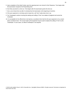- 5. Upon completion of the initial Contest, give the opposing team one minute for their Response. Time begins after the Quizmaster recognizes the Responding team.
- 6. Give thirty seconds for a time-out. Time begins after the Quizmaster grants the time-out.
- 7. Give a one-minute time-out after it is declared by the Quizmaster at the beginning of overtime.
- 8. If the quiz equipment is not being used to keep time, call "time" loudly when time is up.
- 9. The Timekeeper's actions involving the starting and calling of "time" are matters of judgment and cannot be Contested.
- 10. It is acceptable for the official time to be kept by a countdown timer built into the quiz equipment or by a standalone countdown timer. The sound made by the equipment may be used to replace the calling of "time" by the Timekeeper. In such cases, an official Timekeeper is not required.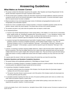# **Answering Guidelines**

### <span id="page-15-1"></span><span id="page-15-0"></span>**What Makes an Answer Correct**

- 1. The answer contains the information required by the question. (See "Question and Answer Requirements" for the specific information required for the type of question and/or answer.)
- 2. The first answer given completely contains the information required even though additional, irrelevant (cannot be counted as correct, but it's not incorrect) information is given during the answer, or incorrect information is given after the *required answer* has been completed.
- 3. Mispronunciations of any word (especially proper names of individuals and geographical locations) are still recognizable as the information required.
- 4. Answers for a Give a Complete Answer, Essence Question, or Essence Completion Question contain all of the phrases, clauses, and/or *key words* required. The answer does not have to be a *perfect quotation*.
- 5. The answers are given in any order when the question does not require a certain order.
- 6. For *interjected phrases:*
	- a. A quizzer may include *interjected phrases* in their answer before, in the middle of, or at the end of a conversation, prayer, spoken words, etc. (including for questions like "Give all the words of..."). (e.g., Nicodemus' words in John 3:2 have the *interjection* "he said." "'Rabbi,' he said, 'we all know that God has sent you to teach us...' In this example, a quizzer is allowed to give the *interjection* "he said" as part of the answer.)
	- b. A quizzer must give the *interjected phrases* found within *Complete Answers*, Quotation or Quotation Completion Questions, Essence or Essence Completion Questions, and the official *Chapter Analysis*. (e.g., The Old Testament Scripture in Acts 2:17 has the *interjection* "God says." "In the last days, God says, I will pour out my Spirit upon all people." In this example, a quizzer would be required to give the *interjection* "God says" in the answer.)
- 7. A quizzer, in answering a question requiring multiple references, makes it clear the book and/or chapter from which they are answering. They may list multiple references from a given book after naming the book once and may list multiple references from a given chapter after naming the chapter once. They do not have to give the book during a single book season or during a multiple book season when the chapter number(s) can only come from one of the books.
- 8. A quizzer gives the answer in their own words as long as the words they use mean the same thing.

### <span id="page-15-2"></span>**Quotation Questions and Quotation Completion Questions**

- 1. The quizzer follows all the applicable guidelines for "What Makes an Answer Correct."
- 2. The answer to a Quotation Question or Quotation Completion Question is a *perfect quotation*. Once the answer is correctly *quoted*, any additional Scripture *quoted* will not be incorrect.
- 3. In answering a Quotation Completion Question:
	- a. The quizzer *perfectly quotes* the remainder of the Scripture, from the point where the Quizmaster stopped reading to the end of the answer required.
	- b. The quizzer may also choose to *quote* any part or all of the portion of the Scripture read by the Quizmaster but must also *perfectly quote* this portion.
- 4. In a Quotation Question requiring more than one verse, the quizzer *perfectly quotes* each verse as a whole in any order unless the question requires a certain order.
- 5. It is acceptable for quizzers to give a chapter and/or verse number before quoting a verse even when it is not required by the question; however, it must be accurate.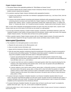### <span id="page-16-0"></span>**Chapter Analysis Answers**

- 1. The quizzer follows all the applicable guidelines for "What Makes an Answer Correct."
- 2. For questions labeled with the Chapter Analysis Answer *Introductory Remark*, the quizzer gives only the *Chapter Analysis* answers required by the question.
- 3. For questions requiring *Chapter Analysis* individuals and/or geographical locations:
	- a. A quizzer may include the correct title of an individual or geographical location (e.g., Lord Jesus Christ, John the Baptist, King David, etc.).
	- b. A quizzer may include irrelevant connecting words between individuals and/or geographical locations. Those connecting words do not have to be found within the *Chapter Analysis* or in the *Scripture Portion*. (e.g., If the answers were "Andrew" "Simon," a quizzer could answer correctly with "Andrew plus Simon," or "Andrew and Simon," or "Andrew with Simon," etc. It would be incorrect to answer, "Andrew went to find his brother, Simon.")

Note: In cases where individuals and geographical locations are given more than one proper name, a quizzer could choose to give any one of the names or all of them as one answer to a valid question.

- 4. For any type of question requiring a *Chapter Analysis* question, exclamation, parenthetical statement, and/or Old Testament Scripture in their entirety, the quizzer gives all of the phrases, clauses, and/or *key words* of the required *Chapter Analysis* answers. The answer does not have to be a *perfect quotation*.
- 5. When a question requires *Chapter Analysis* answers with non-*Chapter Analysis* answers, the quizzer gives the basic information required for the type of question and/or answer and follows rule(s) 3 and/or 4 above.

### <span id="page-16-1"></span>**Interrupted Questions**

- 1. The completion of an interrupted question is correct when it:
	- a. Requires the same answer as the official question; and
	- b. Does not contain incorrect information; and
	- c. Agrees with the *Introductory Remarks* of the official question; and
	- d. Asks the same basic question containing at least the essential parts of the question, though not necessarily in the same words as the official question. The following "same basic question" completions are acceptable as long as the completion complies with all the rules for "Interrupted Questions":
		- i. A quizzer uses phrasing from the Scripture to complete an interrupted question instead of the unique phrasing which may have been used by the question writer. (In this case, the question will sound different but must still follow rules 1a, b, c, and d above.)
		- ii. A quizzer uses their own words to complete an interrupted question rather than using the phrasing from the Scripture or the unique phrasing of the question writer. (In this case, the question will sound different but must still follow rules 1a, b, c, and d above.)
		- iii. A quizzer replaces a noun used to name a person, group, place, or thing with a pronoun, or a pronoun with the correct name of the person, group, place, or thing, and it is clear from either the question or Scripture context to whom or what it refers (a pronoun's action or description could be enough to make it clear). If the Scripture required as the answer only contains the pronoun, the quizzer does not have to name the person, group, place, or thing.
- 2. If a quizzer interrupts a Quotation Completion Question or an Essence Completion Question before the word "*quote*," the quizzer must finish the question up to the word "*quote*" but does not have to include the word "*quote*." If a quizzer interrupts on the word "*quote*," the quizzer only needs to *perfectly quote* or give in essence the Scripture completion per the requirements of the *Introductory Remark*.
- 3. If a quizzer interrupts a Quotation Question, the quizzer does not have to use the word "*quote*" to complete the question (the words "give," "say," etc., can be used to complete the question).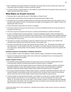- 4. When completing an interrupted Scripture Text Question, the quizzer does not have to say the word "*quote*" and only needs to give the Scripture in essence to finish the question.
- 5. If a quizzer interrupts a question before or in the middle of a section title found in the question itself, the quizzer only needs to give the section title in essence.

### <span id="page-17-0"></span>**What Makes an Answer Incorrect**

- 1. The answer fails to comply with the rules for "What Makes an Answer Correct."
- 2. A quizzer fails to speak loudly or clearly enough for the Quizmaster and/or Judges to hear.
- 3. The answer was not accurately completed before time ends (time ends at the initial sound of the calling of "time" or the initial sound made by the timer). The Quizmaster and Judges must disregard any word, syllable, or letter of the alphabet given after time ends.
- 4. Incorrect information is given before the answer is completed.
- 5. The answer is given by the quizzer who did not buzz in and was not *identified* and they are on the same team as the quizzer who did buzz in.
- 6. The answer is given by the quizzer who buzzes in, and they received *help* from a member of their team.
- 7. In a Give a Complete Answer, Essence Question, or Essence Completion Question, obvious information from another verse is given before the completion of the *required answer*. (This information must be significantly different in order to distinguish it from the correct verse and/or contain clearly incorrect information that would not mean the same thing as the correct verse.)
- 8. The answer to a Scripture Text Question is given from outside the *three-verse context* or from outside of the extended context required by the *Introductory Remarks* or the question itself.
- 9. The quizzer incorrectly pairs the parts of the question with their answers. (e.g., "Who planted, who watered, and who made it grow?" can be answered "God, Paul, and Apollos" in any order. However, if the quizzer answered, "Paul made it grow, Apollos planted, and God watered," they have incorrectly paired the parts of the question with the answers.)

### <span id="page-17-1"></span>**Quotation Questions and Quotation Completion Questions**

- 1. Any word, syllable, or letter of the alphabet is omitted, repeated, added, or changed in the *perfect quotation*.
- 2. A quizzer incorrectly gives the chapter and/or verse number prior to quoting the verse or incorrectly gives the reference as required by the question.

#### <span id="page-17-2"></span>**Chapter Analysis Answers**

- 1. For individuals and/or geographical locations, the quizzer gives incorrect information (anything other than the correct title and/or irrelevant connecting words) before the *required answer* is completed.
- 2. For questions labeled with the Chapter Analysis Answer *Introductory Remark* requiring a question, exclamation, parenthetical statement, and/or Old Testament Scripture, a quizzer gives incorrect information or additional information outside the required *Chapter Analysis* answers before the *required answer* is completed.
- 3. For any type of question requiring a *Chapter Analysis* question, exclamation, parenthetical statement, and/or Old Testament Scripture in their entirety as part of the *required answer*, the quizzer does not give all of the phrases, clauses, and/or *key words* for those *Chapter Analysis* answers found within the *required answer*.
- 4. A quizzer includes an *interjected phrase(s)* before, in the middle of, or at the end of a *Chapter Analysis required answer* with their correct answer. (e.g., The exclamation in John 4:15 has the *interjection* "the woman said." "'Please, sir,' the woman said, 'give me this water!'" In this example, a quizzer is not allowed to give the *interjection* "the woman said" in the answer.) The "end" requirement does not include incorrect information given after all of the *required answers* have been correctly completed.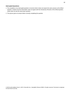### <span id="page-18-0"></span>**Interrupted Questions**

- 1. The completion of an interrupted question is incorrect when it does not require the same answer as the official question, contains incorrect information, does not agree with the *Introductory Remarks* of the official question, and/or does not ask the same basic question.
- 2. The quizzer gives an answer before correctly completing the question.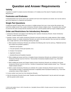# **Question and Answer Requirements**

# <span id="page-19-1"></span><span id="page-19-0"></span>**Validity**

A question is invalid if it contains incorrect information or if it violates one of the rules for "Question and Answer Requirements."

# <span id="page-19-2"></span>**Footnotes and Endnotes**

A footnote/endnote must not be used to ask a question and must not be required as an answer, but it can be used as part of the Statement in a Statement and Question.

# <span id="page-19-3"></span>**Single Part Questions**

A single part question requires either one answer or multiple answers from one or more verses (the answers may come from multiple verses if the Location *Introductory Remarks* indicate multiple verses). The question does not have to come from the same verse(s) that the answer(s) come from, and the question itself can require multiple answers.

# <span id="page-19-4"></span>**Order and Restrictions for Introductory Remarks**

- 1. *Introductory Remarks* must appear in the following order: Question *Introductory Remark*, Answer *Introductory Remark*, Location *Introductory Remark*.
- 2. Question, Answer, and Location *Introductory Remarks* must each include only a single statement. When multiple Question, Answer, or Location *Introductory Remarks* are used in the same question, they must each be combined into a single statement, and the following ordering rules apply:
	- a. When Question *Introductory Remarks* are combined, the following order must be used (e.g. "Statement and twopart scripture text quotation question"):
		- i. Statement and Question
		- ii. Two-part Question (Three-part Question, etc.)
		- iii. Scripture Text Question
		- iv. Application Question
		- v. Quotation/Essence/Completion Question
	- b. When multiple part answer and Give a Complete Answer *Introductory Remarks* are combined, the Answer *Introductory Remark* must be in the form, "Give [number of answers] complete answers" (e.g. "Give three complete answers").
	- c. When multiple part answer and Chapter Analysis Answer *Introductory Remarks* are combined, the Answer *Introductory Remark* must be in the form, "[number of answers]-part chapter analysis answer" (e.g. "Three-part chapter analysis answer").
	- d. When Location *Introductory Remarks* are combined, the Location *Introductory Remark* must be in the form, "From [number of verses, if required] [consecutive or separate] verses of [scripture location]" (e.g. "From three consecutive verses of Mark chapter 1").
- 3. A verse number must never be in the *Introductory Remarks*.
- 4. Only the *Introductory Remarks* found under "Question and Answer Requirements" may be used and must agree with the question and/or answer.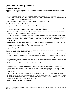# <span id="page-20-0"></span>**Question Introductory Remarks**

### <span id="page-20-1"></span>**Statement and Question**

A Statement gives additional information upon which to base the question. The *required answer* must be based on both the statement and the question.

- 1. The Statement is part of the overall question and may be interrupted.
- 2. The Statement may contain a *quotation* from the Scripture, introduced with the word "*quote*" and ending with the words "end quote." It must not be labeled as a Scripture Text Question unless the question itself contains the word "*quote*" followed by a *quotation* from the Scripture.
- 3. The Statement should have a direct spiritual or Scriptural correlation to the question.

### <span id="page-20-2"></span>**Two-Part Question (Three-Part Question, etc.)**

A multiple part question has two or more distinct questions that require separate answers.

- 1. The answers may come from multiple verses if the Location *Introductory Remarks* indicate multiple verses (e.g. "Two-part question. Give a complete answer. From two consecutive verses.").
- 2. A multiple part question must not be labeled a multiple part answer if it requires the same number of answers as questions. Each question must have at least one answer.
- 3. A multiple part question that requires more answers than there are parts in the question should be labeled with a multiple part answer *Introductory Remark*. Otherwise, only one answer for each question is required. The question itself must not require multiple answers (e.g. "What two places did Jesus go, and what two statements did He make?" is invalid).
- 4. If a multiple part question is labeled with an *Introductory Remark* denoting fewer answers than actually exist, then only the number of answers specified by the *Introductory Remark* is required, but at least one answer is required for each question (for exception, see page 27, "Fewer Answers than Exist").

### <span id="page-20-3"></span>**Scripture Text Question**

A Scripture Text Question contains the word "*quote*" followed by a *quotation* from the Scripture and requires the answer(s) to be associated with the Scripture text given.

- 1. The Scripture Text Question *Introductory Remark* must be used when the question itself contains the word "*quote*" to signal the beginning of a *quotation* from Scripture (for exception, see page 23, "Quotation Completion Question," #6). The *quotation* must immediately follow the word "*quote*," and must be at the end of the question.
- 2. The Scripture following the word "*quote*" may be any portion of Scripture from the material being studied, such as a word, phrase, sentence, verse, etc.
- 3. The first word of the Scripture following the word "*quote*" does not have to be unique.
- 4. The *required answer* must come from the *three-verse context*. However, the *required answer* can be extended beyond the *three-verse context* if the *Introductory Remarks* clearly indicate otherwise and at least part of the *required answer* is contained in the *three-verse context* (e.g. "Scripture text question. Give a complete answer. From five consecutive verses. What teaching of John follows the question, quote, 'Who warned you to flee the coming wrath?'").
- 5. A Scripture Text Question requiring multiple answers may require answers from more than one occurrence of the Scripture found within the material being studied. Each *required answer* must come from the *three-verse context* for each occurrence of the Scripture text (e.g. Scripture text question. Twelve-part answer. From separate verses of Matthew. What is described as being, quote, "of God"?).
- 6. It must not contain a verse number in the question.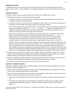### <span id="page-21-0"></span>**Application Question**

An Application Question requires answers that are not necessarily found in the material being studied about the author, history, doctrine, or other related topics. Two Application Questions per set will be included in League meets 1-4.

### <span id="page-21-1"></span>**Quotation Question**

- A Quotation Question requires a *perfect quotation* as an answer from a complete verse or verses.
- 1. The following rules apply to questions using *location* in Scripture:
	- a. If it requires an answer by a verse *location* in a multiple book season, then the book's name must be in the *Introductory Remarks* or in the question itself.
	- b. If it requires one verse as an answer, then it is acceptable for either chapter or verse number to be given first in the question or for the chapter and/or book to appear in the *Introductory Remarks*.
	- c. If two or more *consecutive verses* are required as an answer by chapter and verse in the question itself, then the question must be asked, "Quote verses \_\_\_\_\_ and \_\_\_\_\_ from the \_\_\_\_\_ chapter." These questions must not be labeled as multiple part questions but must use the Consecutive Verses *Introductory Remark* and must specify the number of *consecutive verses* the answer comes from*.*
	- d. If two or more *consecutive verses* are required as an answer by verse number in the question itself and the chapter is in the *Introductory Remarks*, then the question must be asked, "Quote verses \_\_\_\_\_ and \_\_\_\_\_." These questions must not be labeled as multiple part questions but must use the Consecutive Verses *Introductory Remark* and must specify the number of *consecutive verses* the answer comes from (e.g. "Quotation Question. From three consecutive verses of James chapter 3. Quote verses 15, 16, and 17.")
	- e. If *separate verses* are required as an answer by chapter and verse in the question itself, then the question must be asked, "Quote book, chapter, verse, and book, chapter, verse." In a one-book season, the question does not have to include the book name. If all of the verses are from the same book and/or chapter, the book name and/or chapter only need to be mentioned in the *Introductory Remarks* or once in the question itself. All of these questions must be labeled as multiple part Quotation Questions and must use the Separate Verses *Introductory Remark* (e.g. "Two-part quotation question. From separate verses of John chapter 7. Quote verses 5 and 10").
- 2. If a question using a specific action, situation, topic, or *Chapter Analysis* also requires the reference or complete reference as part of the answer, the question must be labeled a multiple part Quotation Question (e.g. "Two-part quotation question. Quote and give the reference for the verse in which Paul is named.").
- 3. A question not labeled a Quotation Question, but requiring a *perfect quotation* as an answer, is invalid (e.g. "Twopart answer. From separate verses. Quote the verses in which Abraham is named." is invalid).
- 4. For XP5 and Contender Divisions, all *quotes* must come only from *marked verses*.

### <span id="page-21-2"></span>**Quotation Completion Question**

A Quotation Completion Question requires a *perfect quotation* as an answer that must be completed from a verse(s), sentence(s), question(s), saying(s), etc.

- 1. The word "Finish" must begin the question. The word "*quote*," immediately followed by a *quotation* from Scripture, must be used to signal the beginning of the actual *quotation*.
- 2. The first word of the actual *quotation* must be unique or must be sufficient to differentiate it from every other verse (sentence, question, saying, etc.) within the context of the question.
	- a. The context may be specified by the *Introductory Remarks* or in the question itself by a section title, chapter, or book.
	- b. The context may be specified in the question itself by a specific action, situation, topic, or *Chapter Analysis* found within the material being studied (e.g. "Quotation completion question. Finish this Old Testament Scripture…").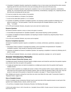- 3. A Quotation Completion Question requiring the completion of one or more verses must demand the entire verse(s), beginning with the first word of the first verse and concluding with the last word of the last verse.
- 4. A Quotation Completion Question requiring the completion of one or more sentences (questions, exclamations, sayings, etc.) must demand the entire sentence(s) (question(s), exclamation(s), saying(s), etc.), beginning with the first word and concluding with the last word.
- 5. It must not contain the verse number in the question.
- 6. It must not be labeled as a Scripture Text Question.
- 7. It must not be asked after question 17 or in overtime.
- 8. A question not labeled a Quotation Completion Question, but requiring a *perfect quotation* by following rule #1 above is invalid (e.g. "Two-part question. Finish this verse and give the complete reference, quote, 'Give us today…'" is invalid).
- 9. For XP5 and Contender Divisions, all *quotes* must come only from *marked verses*.

### <span id="page-22-0"></span>**Essence Question**

An Essence Question requires a verse or verses to be given in essence.

- 1. It must follow all requirements for "Quotation Question" rules (except requiring a *perfect quotation*).
- 2. A question not labeled an Essence Question, but requiring an answer in essence by using the phrase "Give in essence," is invalid.
- 3. For XP5 and Contender Divisions, any verse can be required.

### <span id="page-22-1"></span>**Essence Completion Question**

An Essence Completion Question requires a completion to a verse(s), sentence(s), question(s), saying(s), etc. in essence.

- 1. The phrase "Finish in essence" must begin the question, and it must follow all requirements for "Quotation Completion Question" rules (except for requiring a *perfect quotation*).
- 2. A question not labeled an Essence Completion Question, but requiring a completion in essence by following rule #1 above is invalid.
- 3. For XP5 and Contender Divisions, any verse(s), sentence(s), question(s), saying(s), etc. can be required.

## <span id="page-22-2"></span>**Answer Introductory Remarks**

### <span id="page-22-3"></span>**Two-Part Answer (Three-Part Answer, etc.)**

A multiple part answer *Introductory Remark* requires multiple answers and should be used when the question requires more answers than there are parts in the question.

- 1. A single part question does not need to be labeled as a multiple part answer when the question itself requires multiple answers.
- 2. Failure to label a question as a multiple part answer or failure of the question itself to require multiple answers, even when there are more answers than the question requires, does not make the question invalid. In this case, only one answer for each part of the question is required (for exception, see page 27, "Fewer Answers than Exist").

Note: Multiple part answers coming from more than one verse must follow the rules under "Consecutive Verses" or "Separate Verses," pages 24-25.

### <span id="page-22-4"></span>**Give a Complete Answer**

A Give a Complete Answer *Introductory Remark* may be used only when all the *required answers* to each part of the question have multiple phrases, clauses, and/or *key words*.

1. For all Give a Complete Answer *Introductory Remarks*, the following rules apply: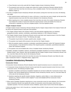- a. These Remarks must not be used with the Chapter Analysis Answer *Introductory Remark*.
- b. The answer(s) must come from a single verse unless the Location *Introductory Remarks* indicate that the answers come from more than one verse (e.g. Give a complete answer. From two consecutive verses of Matthew chapter 2).
- 2. For Give a Complete Answer *Introductory Remarks* with answers coming from more than one verse, the following rules apply:
	- a. Each *required answer* could be part of a verse, a full verse, or more than one verse in length, but the total of the *required answer(s)* must cover all of the verses indicated in the *Introductory Remarks*.
	- b. When requiring one or more *complete answers* from more than one verse, the Location *Introductory Remarks* must indicate the number of verses from which the *required answer* comes and whether the verses are *consecutive* or *separate* (e.g. Give four complete answers. From two separate verses).

#### <span id="page-23-0"></span>**Chapter Analysis Answer**

A Chapter Analysis Answer *Introductory Remark* indicates that the *Chapter Analysis* listed in the *Scripture Portion* will be used as the *required answer* to each part of the question.

- 1. The *Chapter Analysis* listed in the *Scripture Portion* is the final authority regarding what is an individual, geographical location, question, exclamation, parenthetical statement, or Old Testament Scripture.
- 2. The Chapter Analysis Answer *Introductory Remark* must be used when each *required answer* is from the *Chapter Analysis* listed in the *Scripture Portion.* The following rules apply:
	- a. The question may be tied to a *location*, specific action, situation, or topic.
	- b. The question must require all the answers to be only from the *Chapter Analysis*.
	- c. When the question requires a question, exclamation, parenthetical statement, and/or Old Testament Scripture as the answer(s), it must demand the entirety of the required question, exclamation, parenthetical statement, and/or Old Testament Scripture.
	- d. The question must not be labeled with a Give a Complete Answer *Introductory Remark*.
- 3. Quotation, Quotation Completion, Essence, and Essence Completion Questions do not have to follow the "Chapter Analysis Answer" rules. However, they may be labeled with the Chapter Analysis Answer *Introductory Remark*, and if so, must then follow all of the rules for the *Introductory Remark*.

Note: If the *required answer(s)* comes from more than one verse, the *Introductory Remarks* must follow the rules under "Consecutive Verses" or "Separate Verses," pages 24-25.

### <span id="page-23-1"></span>**Location Introductory Remarks**

#### <span id="page-23-2"></span>**Consecutive Verses**

- A Consecutive Verses *Introductory Remark* indicates that the *required answer(s)* occurs in *consecutive verses*.
- 1. A Consecutive Verses *Introductory Remark* must be used when the *required answer(s)* comes from two or more *consecutive verses*. The following exceptions apply:
	- a. Quotation Completion and Essence Completion Questions do not have to follow the "Consecutive Verses" rules. However, they may be labeled with the Consecutive Verses *Introductory Remark*, and if so, must then follow all of the rules for the *Introductory Remark*.
	- b. Questions requiring only specific *locations* (book(s), chapter(s), section title(s), or verse reference(s)) as answers (e.g. "David is named in which chapters?") must not be labeled with the Consecutive Verses *Introductory Remark*.
- 2. When used in Quotation Questions requiring two or more *consecutive verses* by verse reference, the Consecutive Verses *Introductory Remark* must specify the number of *consecutive verses* the answer comes from (e.g. "Quotation Question. From two consecutive verses of Matthew. Quote verses 9 and 10 from the 6th chapter").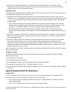3. When used in combination with the Give a Complete Answer *Introductory Remark*, a Consecutive Verses *Introductory Remark* must specify the number of *consecutive verses* the answer comes from (e.g. "Give three complete answers. From two consecutive verses").

### <span id="page-24-0"></span>**Separate Verses**

A Separate Verses *Introductory Remark* indicates that the *required answer* occurs in more than one *separate verse* or in a combination of *separate* and *consecutive verses*.

- 1. A Separate Verses *Introductory Remark* must be used when the *required answers* are found in more than one *separate verse* or in a combination of *separate* and *consecutive verses*. (e.g. If a question has answers from verses 1, 2, 3, and 5, the *Introductory Remarks* must state that the answer comes from *separate verses*.) The following exceptions apply:
	- a. If the Location *Introductory Remarks* clearly indicate that the answers come from *separate verses*, then the question need not be labeled with the Separate Verses *Introductory Remark* (e.g. Quotation question. Threepart answer. From Matthew chapters 2, 16, and 27. Quote the verses in which Jeremiah is named).
	- b. Questions requiring only specific *locations* (book(s), chapter(s), section title(s), or verse reference(s)) as answers (e.g. "David is named in which chapters?") must not be labeled with the Separate Verses *Introductory Remark.*
- 2. When used in combination with the Give a Complete Answer *Introductory Remark*, a Separate Verses *Introductory Remark* must specify the number of *separate verses* the answer comes from (e.g. "Give three complete answers. From two separate verses").
- 3. If an answer appears multiple times within the *location*(s) specified by the *Introductory Remarks* or the question itself, unless all of the occurrences are consecutive with the other *required answers*, the Separate Verses *Introductory Remark* must be used. (e.g. Two-part question. Chapter analysis answer. From Separate Verses of 1 Thessalonians chapter 3. Which geographical location and individual is named? Athens is named in verse 1, and Timothy is named in verses 2, 5, and 6.)

Note: All occurrences of a *required answer(s)* need to be considered to determine if the Separate Verses *Introductory Remark* should be used.

### <span id="page-24-1"></span>**Scripture Location**

The following *Introductory Remarks* can be used in referring to the *location* in Scripture from which the question and/or answer will come.

- 1. From Book(s) (e.g. From Acts).
- 2. From Chapter(s) (e.g. From Chapter 1).
- 3. From the Section(s) Title(d) (e.g. From the section title(d) "God Remains Faithful").
- 5. From Book(s) Chapter(s) (e.g. From 1 Corinthians chapters 7 and 10).
- 6. From the Section(s) of Book(s) and/or Chapter(s) Title(d) (e.g. From the section of Titus Chapter 1 titled "Greetings from Paul").

### <span id="page-24-2"></span>**Special Requirements for Questions**

#### <span id="page-24-3"></span>**Section Titles**

- 1. Only section titles from the *Scripture Portion* may be used in the *Introductory Remarks* or the question itself.
- 2. If a section title is in either the *Introductory Remarks* or the question itself:
	- a. The section title must be immediately preceded with the words: "section(s) title(d)" or "section(s) of book(s) and/or chapter(s) titled."
	- b. The use of the section title must be exactly as found in the *Scripture Portion*.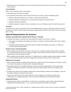3. Section titles must not be required as part of an answer unless the same answer can be found word-for-word in the actual Scripture.

### <span id="page-25-0"></span>**Verse Numbers**

When a verse number(s) is given in the question:

- 1. The answer must come from that verse(s).
- 2. The *key words* of the question must come from the *three-verse context,* except in the following cases:
	- a. *Chapter Analysis* type questions (e.g. Romans 1:3 names which individual?).
	- b. Questions asking for a description (e.g. "How does First Corinthians 2:2 describe Paul?").
	- c. Quotation and Essence questions.
	- d. Questions asking for someone's words, conversation, etc. (e.g. "According to verse 16, what did Jesus say?").

### <span id="page-25-1"></span>**Pronouns**

A pronoun may be used in the question when it can be distinguished by an action or description within the context of the question or answer. Question writers are allowed to replace pronouns with the correct name of the person, group, place, or thing.

## <span id="page-25-2"></span>**Special Requirements for Answers**

### <span id="page-25-3"></span>**Answers Associated with a Specific Word, Phrase, or Number**

- 1. A question may require an answer(s) to be associated with a specific word, phrase, or number.
	- a. The question must single out the specific word, phrase, or number by using the specific words "word," "phrase," or "number."
	- b. The question does not need to use the word "quote" to single out the specific word, phrase, or number (e.g. "The word 'great' describes what?").

### <span id="page-25-4"></span>**Answers from a Verse Description**

- 1. When a question uses the phrase "one-verse," "two-verse," etc. to classify a specific saying, sentence, question, etc., then the *required answer* must be the entire verse(s). If any portion of the verse or verses is not a part of the *required answer*, then the question is invalid.
- 2. When a question uses the phrase "multi-verse" or "multiple verses" to classify a specific saying, sentence, question, etc., then the *required answer* must be from multiple verses but does not have to be from entire verses.

### <span id="page-25-5"></span>**References as Answers**

- 1. When a question requires a complete reference (the book, chapter, and verse are required) as an answer or as part of an answer, the question must use the words "complete reference(s)."
- 2. If the question asks for the "complete reference(s)" and only one book is being studied, or the book has been named in the *Introductory Remarks* or the question itself, then only the chapter and verse are required as the answer.
- 3. A question may ask for only the chapter number(s) from a given book(s) by using the word "chapter(s)." Then only the chapter number(s) are required as the answer.
- 4. A writer may ask for only the verse reference(s) from a given chapter(s) of a book(s) by using the word "reference(s)" not "complete reference(s)." Then only the verse reference(s) are required as the answer.

### <span id="page-25-6"></span>**Interjected Phrases**

1. *Interjected phrases* before, in the middle of, or at the end of a conversation, prayer, spoken words (including for questions like "Give all the words of…"), etc., must not be required in the answer to the question.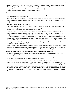- 2. *Interjected phrases* found within *Complete Answers*, Quotation or Quotation Completion Questions, Essence or Essence Completion Questions, and the official *Chapter Analysis* must be required as answers.
- 3. *Interjected phrases* before, in the middle of, or at the end of *Chapter Analysis* answers that are not a part of the *Chapter Analysis* answer itself must not be required as answers.

#### <span id="page-26-0"></span>**Fewer Answers than Exist**

- 1. It is not invalid for either the *Introductory Remarks* or the question itself to require fewer answers than there actually may be for non-*chapter analysis* answers.
- 2. It is invalid for either the *Introductory Remarks* or the question itself to require fewer answers than exist within the limits of the material being studied, a *location* in Scripture, a specific action, situation, and/or topic for *Chapter Analysis* answers.

#### <span id="page-26-1"></span>**Individuals and Geographical Locations**

- 1. Only *Chapter Analysis* individuals and geographical locations can be required as the answer to any question which asks to "list" ("name," "mention," etc.) the individuals and/or geographical locations within the limits of the material being studied, a *location*, a specific action, situation, and/or topic.
- 2. Questions must require only the unique number of answers for individuals and geographical locations within the limits of the material being studied, a *location* in Scripture, a specific action, situation, and/or topic for *Chapter Analysis* answers. In some cases, individuals and geographical locations are given more than one proper name (e.g. Peter is named as Simon, Cephas, and Peter in John 1:42. In this case, if a question required the names of the individuals in John chapter 1, it would be invalid if it required all three names of Peter instead of just one unique answer for Peter). The uniqueness of the *required answers* must be provable from the material being studied.
- 3. Non-*chapter analysis* individuals and geographical locations can be required as the answer to any question related to a specific action, situation, and/or topic.
- 4. These *Chapter Analysis* answers may be combined with non-*chapter analysis* answers and required as an answer when they are tied to the same specific action, situation, and/or topic (e.g. "Two Part Answer. When they entered the house, whom did the wise men see?" Matthew 2:11 *–* "the child with his mother, Mary").

### <span id="page-26-2"></span>**Questions, Exclamations, Parenthetical Statements, Old Testament Scriptures**

- 1. Any question that requires one or more of these *Chapter Analysis* answers combined with non-*chapter analysis* answers may be labeled as a *Complete Answer*.
- 2. A question may require only partial information as an answer from a question, exclamation, parenthetical statement, or Old Testament Scripture and may be labeled as a *Complete Answer*.
- 3. Questions may require a non-*chapter analysis* question or exclamation (those with no question marks or exclamation points) as long as it is tied to a specific action, situation, and/or topic (e.g. What did the foolish bridesmaids ask the others? Matthew 25:8 – "Please give us some of your oil because our lamps are going out.").
- 4. If consecutive questions, exclamations, parenthetical statements, and/or Old Testament Scriptures are required as an answer, they must be from *consecutive verses* and must not be separated by or contain *interjected phrases* or any other words that are not part of the questions, exclamations, parenthetical statements, and/or Old Testament Scriptures.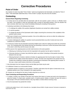# **Corrective Procedures**

# <span id="page-27-1"></span><span id="page-27-0"></span>**Point of Order**

Any member of a team may state "*Point of Order*," wait to be recognized by the Quizmaster, and state the "*Point of Order*." If the Quizmaster determines that a "*Point of Order*" is proper, they will correct the situation.

# <span id="page-27-2"></span>**Contesting**

### <span id="page-27-3"></span>**General Rules Regarding Contesting**

- 1. A Contest will not be permitted after the Quizmaster calls the next question, grants a time-out, or officially closes the match. (The exception is when the Quizmaster fails to reread an interrupted question. Once the situation has been corrected, either team may Contest immediately following the rereading of that question.)
- 2. Contesting is permitted on the following three issues:
	- a. To challenge the validity of the question (Application Questions are exempt from validity contests).
	- b. To void the question.
	- c. To change the decision of the Quizmaster and/or Judges concerning the correctness of the completion of the question and/or answer.
- 3. Each team is limited to two Contests per question. One on the validity issue, and one on either the voiding issue and/or the correctness issue.
- 4. A Contest challenging the validity of a question must be presented before any other Contest and must not be combined as a *multi-issue Contest*.
- 5. A *multi-issue Contest* may be presented concerning multiple issues under the voiding issue and/or the correctness issue. The Contesting team must indicate that they are presenting a *multi-issue Contest* and present these issues in the order in which they wish the issues to be ruled.
- 6. When quizzers from opposing teams are both ruled incorrect on the same question:
	- a. Following any Conferring, the team who first responded to the question has the right to Contest first.
	- b. If that team declines to Contest, they forfeit their right to any further Contesting on that question (except as allowed in the next rule).
	- c. Following that team's Contest or decline to Contest, the opposing team then has the right to Contest. If they Contest and the Judges reverse their decision to "correct," the team who responded to the question first may Contest only to attempt to reverse the decision concerning the correctness of the opposing team's answer. In this case, a team could Contest a third time on this question.
- 7. Only information from the *Scripture Portion* and the Bible Quiz Rules may be used.
- 8. A withdrawn Contest is an unsuccessful Contest.
- 9. A substitute question is treated as a new question. Therefore, both teams have the right to Contest twice on any substitute question even if they Contested on the original question.
- 10. Contests are not allowed for the intent of solely using them as a time-out.

### <span id="page-27-4"></span>**Team Contesting and Responding Procedures**

- 1. To initiate a Contest, any member of the team must express their desire to Contest and wait for the Quizmaster to grant the Contest. If a head coach, assistant coach, or *inactive quizzer* initiates a Contest, the team will receive a foul (except in XP5 and Contender divisions, they may initiate a Contest without receiving a foul).
- 2. Once the Quizmaster has granted the Contest: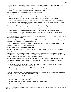- a. The Initiating team has three minutes to prepare and present their Contest to the Quizmaster and Judges. During the preparation of the Contest, the entire team may *verbally communicate*.
- b. The Responding team will be permitted to *verbally communicate* and begin preparation for their Response during the Initiating team's preparation and presentation of the Contest.
- 3. Any one member of the team may present the Contest or Response.
- 4. Once the Initiating team has begun to present their Contest:
	- a. The Initiating team members are not allowed to *verbally communicate. Non-verbal communication* may continue among all team members, including the presenter of the Contest, until the end of their presentation or until "time" is called (the same rule applies for the Responding team when they begin to present their Response).
	- b. The Responding team may continue to *verbally communicate*, although they should do so quietly during the Initiating team's presentation of the Contest.
- 5. The issues and rules being used to support the Contest should be stated during the presentation.
- 6. The presenter should indicate when their presentation of the Contest or Response has concluded.
- 7. If "time" is called during the Initiating or Responding team's presentation, the presentation must stop.
- 8. If "time" is called before the Initiating team has a chance to begin their presentation, it will be an unsuccessful Contest, and no Response will be allowed.
- 9. At the conclusion of the Initiating team's Contest, the Responding team will be given one minute to finish preparing and/or to present their Response.
- 10. If the Responding team has no Response, they may state "no response." However, a Response of "we agree" is preferable if the Responding team agrees with the Contest.
- 11. Contests and Responses must be presented in a sportsmanlike manner, avoiding any unnecessary comments regarding members of the other team or the officials.

#### <span id="page-28-0"></span>**Quizmaster and Judges Contesting Procedures**

- 1. The Quizmaster should make note of the issues for the Contest and use this to prompt the Judges for a vote after the completion of both the Contest and Response.
- 2. During and after a Contest and subsequent Response are presented, the Quizmaster and Judges may briefly consult the rules and *Scripture Portion*. They may not discuss the Contest or Response with each other before the initial vote unless a Judge requests clarification from the Quizmaster.
- 3. The initial vote cast by the Quizmaster and Judges will be independent. Using a coin, they will select heads to accept the contest or tails to deny, revealing their decision at the same time. The vote must be based solely on the following:
	- a. The requirements of the question and answer (see "Question and Answer Requirements" for the specific requirements of the type of question and/or answer).
	- b. The rules and points presented under each issue that apply to the Contest and Response.
	- c. The Scripture that applies to the rules and points presented under each issue.
- 4. If the vote is unanimous to either accept or deny the Contest, the Quizmaster will announce this decision and then, if necessary, take the appropriate steps to correct the situation.
- 5. If the vote is not unanimous, the Quizmaster and Judges will:
	- a. Discuss the Contest and Response among themselves without exerting undue influence on each other. This discussion should be as brief as possible.
	- b. Be careful not to allow their discussion to be heard by the teams or audience.
	- c. Vote again, revealing their coins at the same time.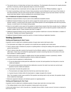6. The second vote on a Contest does not have to be unanimous. The Quizmaster will announce the majority decision and then, if necessary, take the appropriate steps to correct the situation.

Note: For rulings with only a Quizmaster and one Judge, see rule 19c from the "Officials Guidelines," page 13.

7. If a team is presenting a *multi-issue Contest*, these procedures must be followed for each issue of the Contest, in the order presented, until one of the issues has been accepted or all of the issues have been denied. If all of the issues have been denied, it will be considered one unsuccessful Contest.

### <span id="page-29-0"></span>**Use of Additional Scriptural Evidence in Contesting**

- 1. Additional Scriptural Evidence may be used to show additional acceptable answers.
- 2. Additional Scriptural Evidence may also be used to support the answer given by a quizzer in the case where key phrases, clauses, or words found in the answer of the official question are interchangeable with other key phrases, clauses, or words found in the Scripture being studied.
- 3. Since it is not invalid in some cases for the question to require fewer answers than there actually may be, Additional Scriptural Evidence presented to show additional acceptable answers will not make the question invalid unless the question violates rules for "Fewer Answers than Exist" on page 27.
- 4. Additional Scriptural Evidence can be used to prove the question invalid due to incorrect information or violation of the rules for "Question and Answer Requirements."
- 5. Additional Scriptural Evidence cannot be used for a Contest involving an Application Question.

### <span id="page-29-1"></span>**Voiding Questions**

#### <span id="page-29-2"></span>**Voiding and Replacing for Both Teams**

A question must be voided and a substitute question of equal value read to both teams when:

- 1. The Quizmaster and Judges rule a question to be invalid that was originally read to both teams.
- 2. There is obvious *help* or *hindrance* by anyone or anything before or during the reading of the question and before a quizzer has buzzed in.
- 3. There is obvious *help* after a quizzer has buzzed in by the officials, audience, or other source(s) not related to either team. A team may not Contest the opposing team's answer concerning *help* due to the actions of its own team members or related audience.
- 4. An *active quizzer* who is no longer an *eligible quizzer* has been permitted to answer a question(s), whether correctly or incorrectly. All affected questions must be voided and replaced.
- 5. It is proven that the equipment is malfunctioning.
	- a. If it can be determined at what point the malfunction occurred, all used questions from that point on must be voided and replaced.
	- b. If it cannot be determined at what point the malfunction occurred, the match must start over and all used questions must be voided and replaced.
- 6. The Quizmaster *misreads* the question and:
	- a. The Quizmaster and Judges determine that the *key words* have been read, or
	- b. A quizzer buzzes in before either the Quizmaster or Judges recognize the *misread*.

Note: The exception to both cases would be if the question was being read to only one team, the question should not be voided but reread again.

7. Electronic equipment indicates a tie between quizzers on opposing teams.

### <span id="page-29-3"></span>**Voiding and Replacing for One Team**

A question must be voided and a substitute question of equal value read only to one team when:

1. The voiding situation occurs when the question is being read to only one team.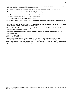- 2. A quizzer has buzzed in and there is obvious *hindrance* by a member of the opposing team, one of the officials, audience, or other sources not related to the offended team.
- 3. The Quizmaster and Judges reverse a decision of "correct" on an interrupted question due to a Contest.
- 4. There is an error on the part of the officials in *identifying* the correct quizzer such as:
	- a. A quizzer is incorrectly *identified* and begins to answer the question.
	- b. There is undue delay in *identifying* the quizzer who buzzed in.
	- c. The quizzer who buzzed in is not allowed to answer.
- 5. A quizzer is not given a full thirty seconds to complete the answer and the answer is merely incomplete and does not contain incorrect information.
- 6. The Quizmaster and Judges rule in favor of a Contest because of Additional Scriptural Evidence but were unable to either accurately recall or record the answer that was given.
- 7. A quizzer is hindered from answering correctly when the Quizmaster or a Judge fails to call "Interruption" and the meaning of the question has changed.
- 8. A quizzer is hindered from answering correctly when the Quizmaster or a Judge calls "Interruption" on a noninterrupted question.

### <span id="page-30-0"></span>**Unusual Situations**

If unusual situations arise which are not clearly covered in the rules, the Quizmaster and Judges, in private consultation with the coordinator, will make as fair and just a ruling as possible. These special rulings are not contestable. A head coach may not appeal a decision of the Quizmaster and/or Judges because of a disagreement on judgment calls. The coordinator should only be requested to intervene in the event of a major rule violation.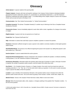# **Glossary**

<span id="page-31-0"></span>*Active Quizzer*: A quizzer seated at the quizzing table.

*Chapter Analysis*: Answers with clear and specific markings in the *Scripture Portion* limited to individuals (bolded), geographical locations (*italicized*), questions (?), exclamations (!), parenthetical statements ( ), and Old Testament Scriptures (underlined and inside quotation marks ""). An official listing of the *Chapter Analysis* is found in the *Scripture Portion* and can also be found on the Basic 5 CD.

*Communication*: See *"Non-Verbal Communication"* or *"Verbal Communication."*

*Complete Answer(s)*: The phrase *"Complete Answer(s)"* is another way of referring to the Give a Complete Answer *Introductory Remarks*.

*Consecutive Verses*: Verses immediately adjacent to each other within a book, regardless of a change in the section or chapter.

*Eligible Quizzer*: A quizzer who has not *quizzed out* or *fouled out.*

*Fouled Out*: See *"Quizzed Out/Fouled Out."*

*Help*: Information or actions that could *help* a quizzer complete a question or answer the question.

*Hindrance*: Distraction sufficient enough to cause a quizzer to be unable to correctly complete an interrupted question and/or answer.

*Identified/Identifying*: The process of an official recognizing the quizzer who buzzed in by calling that quizzer's color and number (e.g., "Red One").

*Inactive Quizzer*: A quizzer seated behind the *active quizzers*.

*Interjected Phrases/Interjections*: Phrases *interjected* in the Scripture to identify the speaker, to indicate something is being spoken, or an Old Testament Scripture is being *quoted*.

*Introductory Remark(s)*: Information before the question about what type of question to expect, what type of answer is required, the number of questions and/or answers, and the *location* from where they come.

*Key Words*: 1. For *Complete Answers*, Essence, or *Chapter Analysis: Key words* must be at least two words not including words like "a," "an," "the," etc. 2. For the words which make up a question: It is the word or words necessary to give a quizzer the ability to finish the question.

*Location*: A way to identify in the *Introductory Remarks* or the question itself an area in Scripture from which the question and/or answer will come. This can be done by giving a verse *location*, number, section title, chapter, etc.

*Marked Verses*: Verses in the *Scripture Portion* that have a black, filled-in circle next to them.

*Misread*: When the Quizmaster adds, omits, repeats, or changes anything in the question from "Question number..." to the end of the question.